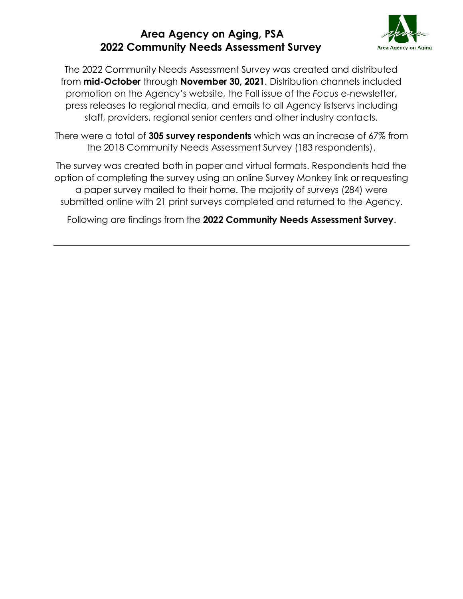

The 2022 Community Needs Assessment Survey was created and distributed from **mid-October** through **November 30, 2021**. Distribution channels included promotion on the Agency's website, the Fall issue of the *Focus* e-newsletter, press releases to regional media, and emails to all Agency listservs including staff, providers, regional senior centers and other industry contacts.

There were a total of **305 survey respondents** which was an increase of 67% from the 2018 Community Needs Assessment Survey (183 respondents).

The survey was created both in paper and virtual formats. Respondents had the option of completing the survey using an online Survey Monkey link or requesting a paper survey mailed to their home. The majority of surveys (284) were submitted online with 21 print surveys completed and returned to the Agency.

Following are findings from the **2022 Community Needs Assessment Survey**.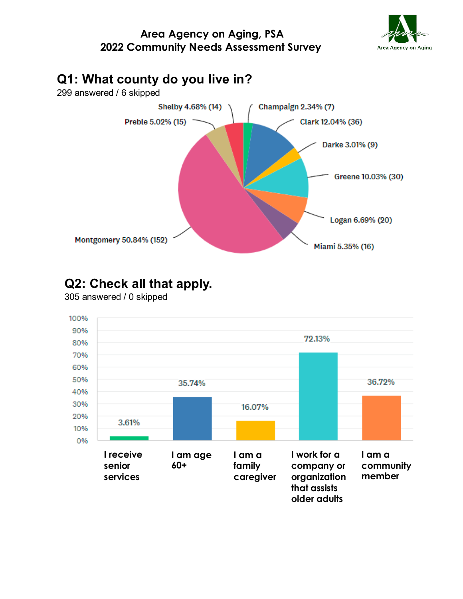





## **Q2: Check all that apply.**

305 answered / 0 skipped

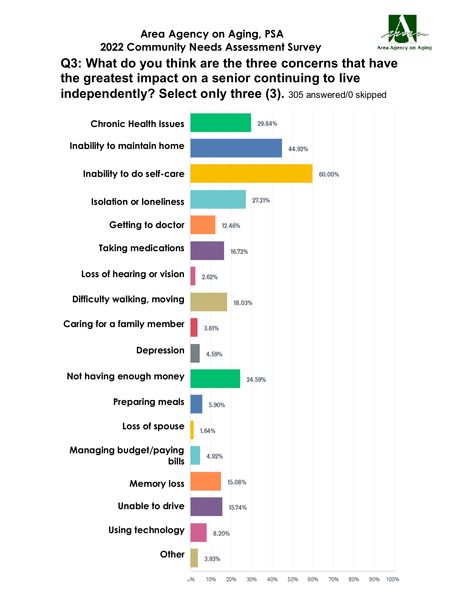

## **Q3: What do you think are the three concerns that have the greatest impact on a senior continuing to live independently? Select only three (3).** 305 answered/0 skipped

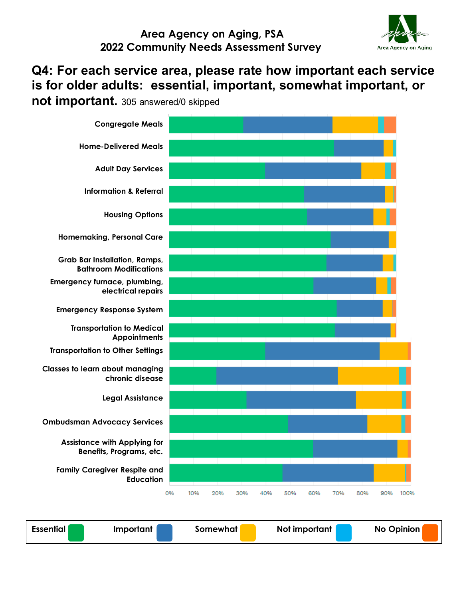

### **Q4: For each service area, please rate how important each service is for older adults: essential, important, somewhat important, or**

**not important.** 305 answered/0 skipped



**Essential Important Somewhat** Not important No Opinion